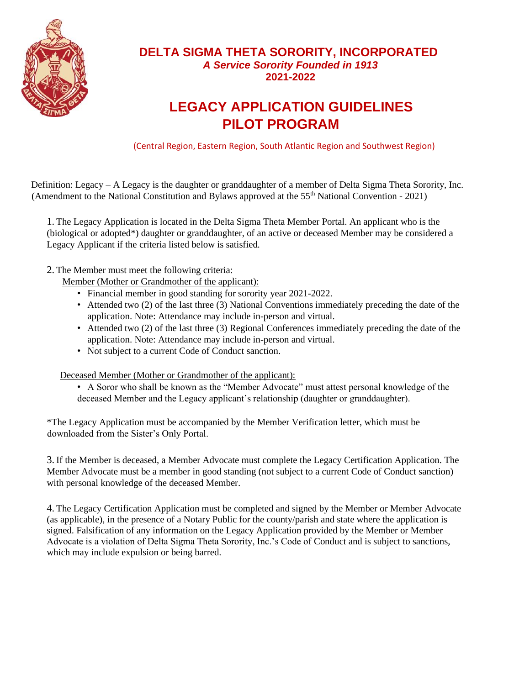

### **DELTA SIGMA THETA SORORITY, INCORPORATED** *A Service Sorority Founded in 1913* **2021-2022**

# **LEGACY APPLICATION GUIDELINES PILOT PROGRAM**

(Central Region, Eastern Region, South Atlantic Region and Southwest Region)

Definition: Legacy – A Legacy is the daughter or granddaughter of a member of Delta Sigma Theta Sorority, Inc. (Amendment to the National Constitution and Bylaws approved at the 55<sup>th</sup> National Convention - 2021)

1. The Legacy Application is located in the Delta Sigma Theta Member Portal. An applicant who is the (biological or adopted\*) daughter or granddaughter, of an active or deceased Member may be considered a Legacy Applicant if the criteria listed below is satisfied.

- 2. The Member must meet the following criteria:
	- Member (Mother or Grandmother of the applicant):
		- Financial member in good standing for sorority year 2021-2022.
		- Attended two (2) of the last three (3) National Conventions immediately preceding the date of the application. Note: Attendance may include in-person and virtual.
		- Attended two (2) of the last three (3) Regional Conferences immediately preceding the date of the application. Note: Attendance may include in-person and virtual.
		- Not subject to a current Code of Conduct sanction.

Deceased Member (Mother or Grandmother of the applicant):

• A Soror who shall be known as the "Member Advocate" must attest personal knowledge of the deceased Member and the Legacy applicant's relationship (daughter or granddaughter).

\*The Legacy Application must be accompanied by the Member Verification letter, which must be downloaded from the Sister's Only Portal.

3. If the Member is deceased, a Member Advocate must complete the Legacy Certification Application. The Member Advocate must be a member in good standing (not subject to a current Code of Conduct sanction) with personal knowledge of the deceased Member.

4. The Legacy Certification Application must be completed and signed by the Member or Member Advocate (as applicable), in the presence of a Notary Public for the county/parish and state where the application is signed. Falsification of any information on the Legacy Application provided by the Member or Member Advocate is a violation of Delta Sigma Theta Sorority, Inc.'s Code of Conduct and is subject to sanctions, which may include expulsion or being barred.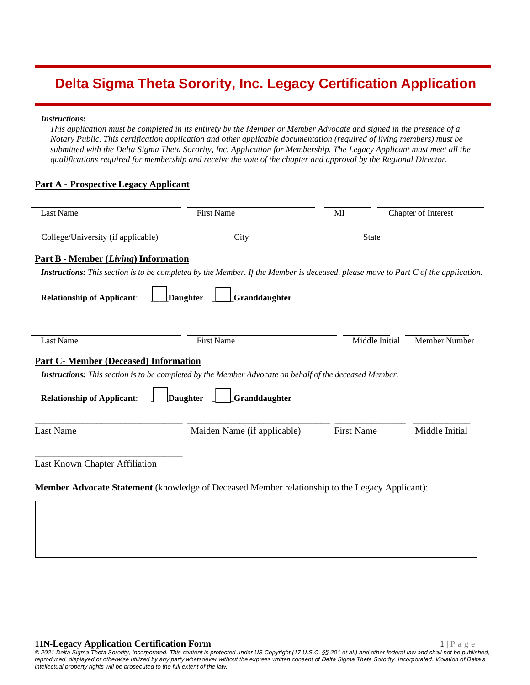# **Delta Sigma Theta Sorority, Inc. Legacy Certification Application**

#### *Instructions:*

*This application must be completed in its entirety by the Member or Member Advocate and signed in the presence of a Notary Public. This certification application and other applicable documentation (required of living members) must be submitted with the Delta Sigma Theta Sorority, Inc. Application for Membership. The Legacy Applicant must meet all the qualifications required for membership and receive the vote of the chapter and approval by the Regional Director.* 

### **Part A - Prospective Legacy Applicant**

| Last Name                                                                                                                         | <b>First Name</b>                | MI                | Chapter of Interest |
|-----------------------------------------------------------------------------------------------------------------------------------|----------------------------------|-------------------|---------------------|
| College/University (if applicable)                                                                                                | City                             | <b>State</b>      |                     |
| <b>Part B - Member (Living) Information</b>                                                                                       |                                  |                   |                     |
| Instructions: This section is to be completed by the Member. If the Member is deceased, please move to Part C of the application. |                                  |                   |                     |
| <b>Relationship of Applicant:</b>                                                                                                 | <b>Daughter</b><br>Granddaughter |                   |                     |
| Last Name                                                                                                                         | <b>First Name</b>                | Middle Initial    | Member Number       |
| <b>Part C- Member (Deceased) Information</b>                                                                                      |                                  |                   |                     |
| Instructions: This section is to be completed by the Member Advocate on behalf of the deceased Member.                            |                                  |                   |                     |
| <b>Relationship of Applicant:</b>                                                                                                 | Granddaughter<br>Daughter        |                   |                     |
| <b>Last Name</b>                                                                                                                  | Maiden Name (if applicable)      | <b>First Name</b> | Middle Initial      |
| Last Known Chapter Affiliation                                                                                                    |                                  |                   |                     |
| <b>Member Advocate Statement</b> (knowledge of Deceased Member relationship to the Legacy Applicant):                             |                                  |                   |                     |

*© 2021 Delta Sigma Theta Sorority, Incorporated. This content is protected under US Copyright (17 U.S.C. §§ 201 et al.) and other federal law and shall not be published, reproduced, displayed or otherwise utilized by any party whatsoever without the express written consent of Delta Sigma Theta Sorority, Incorporated. Violation of Delta's intellectual property rights will be prosecuted to the full extent of the law.*